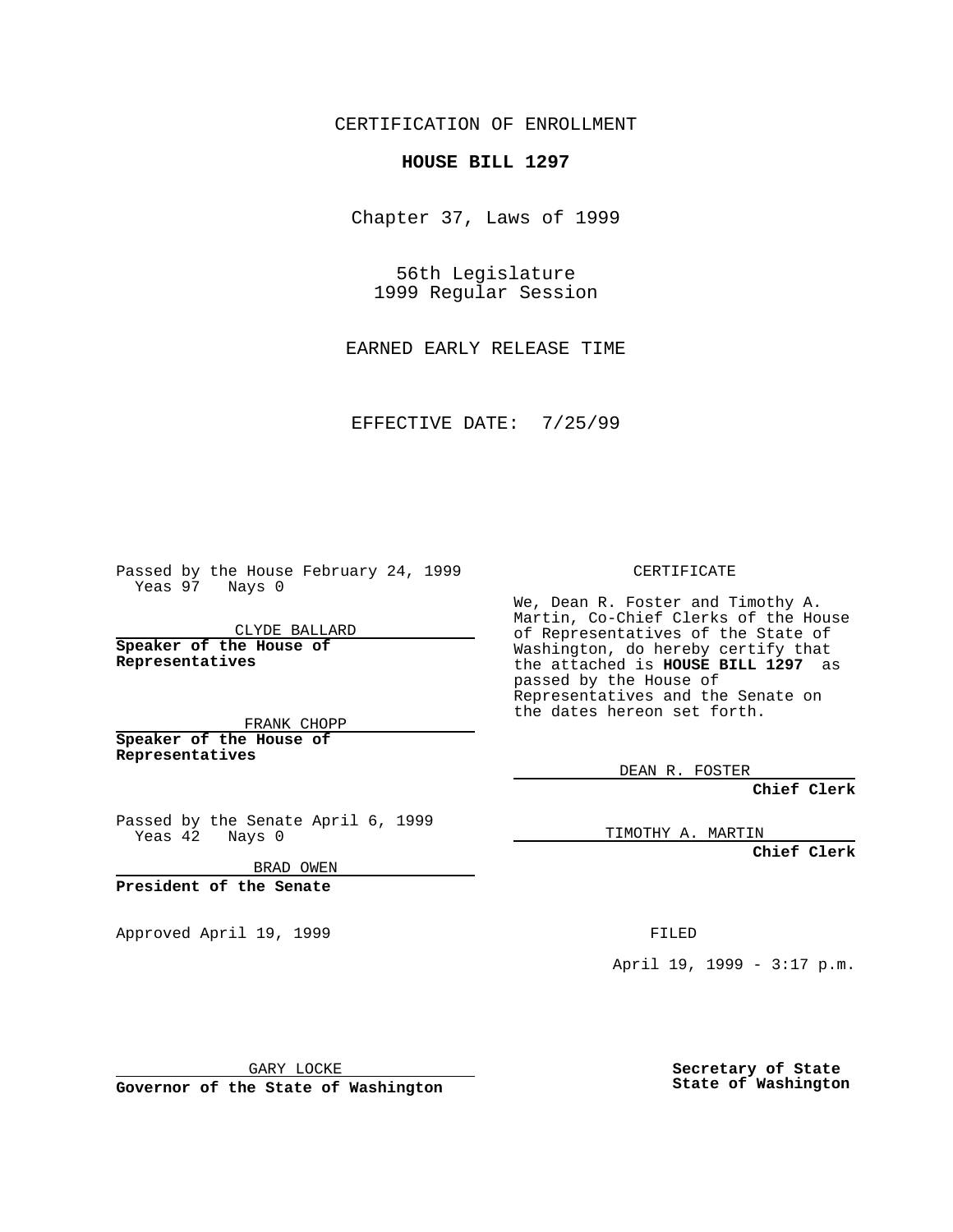CERTIFICATION OF ENROLLMENT

## **HOUSE BILL 1297**

Chapter 37, Laws of 1999

56th Legislature 1999 Regular Session

EARNED EARLY RELEASE TIME

EFFECTIVE DATE: 7/25/99

Passed by the House February 24, 1999 Yeas 97 Nays 0

CLYDE BALLARD **Speaker of the House of Representatives**

FRANK CHOPP **Speaker of the House of**

**Representatives**

Passed by the Senate April 6, 1999 Yeas 42 Nays 0

BRAD OWEN

**President of the Senate**

Approved April 19, 1999 **FILED** 

## CERTIFICATE

We, Dean R. Foster and Timothy A. Martin, Co-Chief Clerks of the House of Representatives of the State of Washington, do hereby certify that the attached is **HOUSE BILL 1297** as passed by the House of Representatives and the Senate on the dates hereon set forth.

DEAN R. FOSTER

**Chief Clerk**

TIMOTHY A. MARTIN

**Chief Clerk**

April 19, 1999 - 3:17 p.m.

GARY LOCKE

**Governor of the State of Washington**

**Secretary of State State of Washington**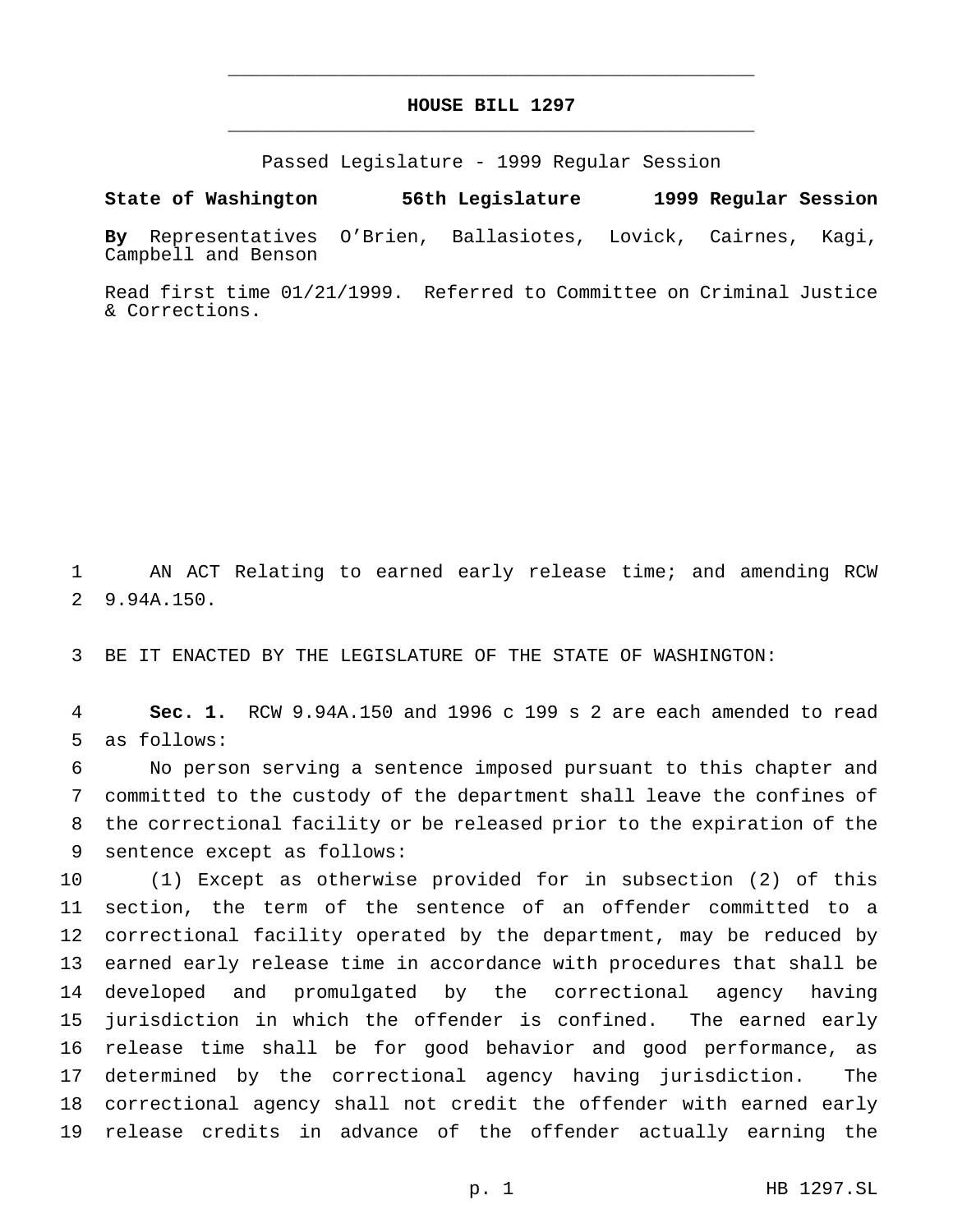## **HOUSE BILL 1297** \_\_\_\_\_\_\_\_\_\_\_\_\_\_\_\_\_\_\_\_\_\_\_\_\_\_\_\_\_\_\_\_\_\_\_\_\_\_\_\_\_\_\_\_\_\_\_

\_\_\_\_\_\_\_\_\_\_\_\_\_\_\_\_\_\_\_\_\_\_\_\_\_\_\_\_\_\_\_\_\_\_\_\_\_\_\_\_\_\_\_\_\_\_\_

Passed Legislature - 1999 Regular Session

**State of Washington 56th Legislature 1999 Regular Session**

**By** Representatives O'Brien, Ballasiotes, Lovick, Cairnes, Kagi, Campbell and Benson

Read first time 01/21/1999. Referred to Committee on Criminal Justice & Corrections.

 AN ACT Relating to earned early release time; and amending RCW 9.94A.150.

BE IT ENACTED BY THE LEGISLATURE OF THE STATE OF WASHINGTON:

 **Sec. 1.** RCW 9.94A.150 and 1996 c 199 s 2 are each amended to read as follows:

 No person serving a sentence imposed pursuant to this chapter and committed to the custody of the department shall leave the confines of the correctional facility or be released prior to the expiration of the sentence except as follows:

 (1) Except as otherwise provided for in subsection (2) of this section, the term of the sentence of an offender committed to a correctional facility operated by the department, may be reduced by earned early release time in accordance with procedures that shall be developed and promulgated by the correctional agency having jurisdiction in which the offender is confined. The earned early release time shall be for good behavior and good performance, as determined by the correctional agency having jurisdiction. The correctional agency shall not credit the offender with earned early release credits in advance of the offender actually earning the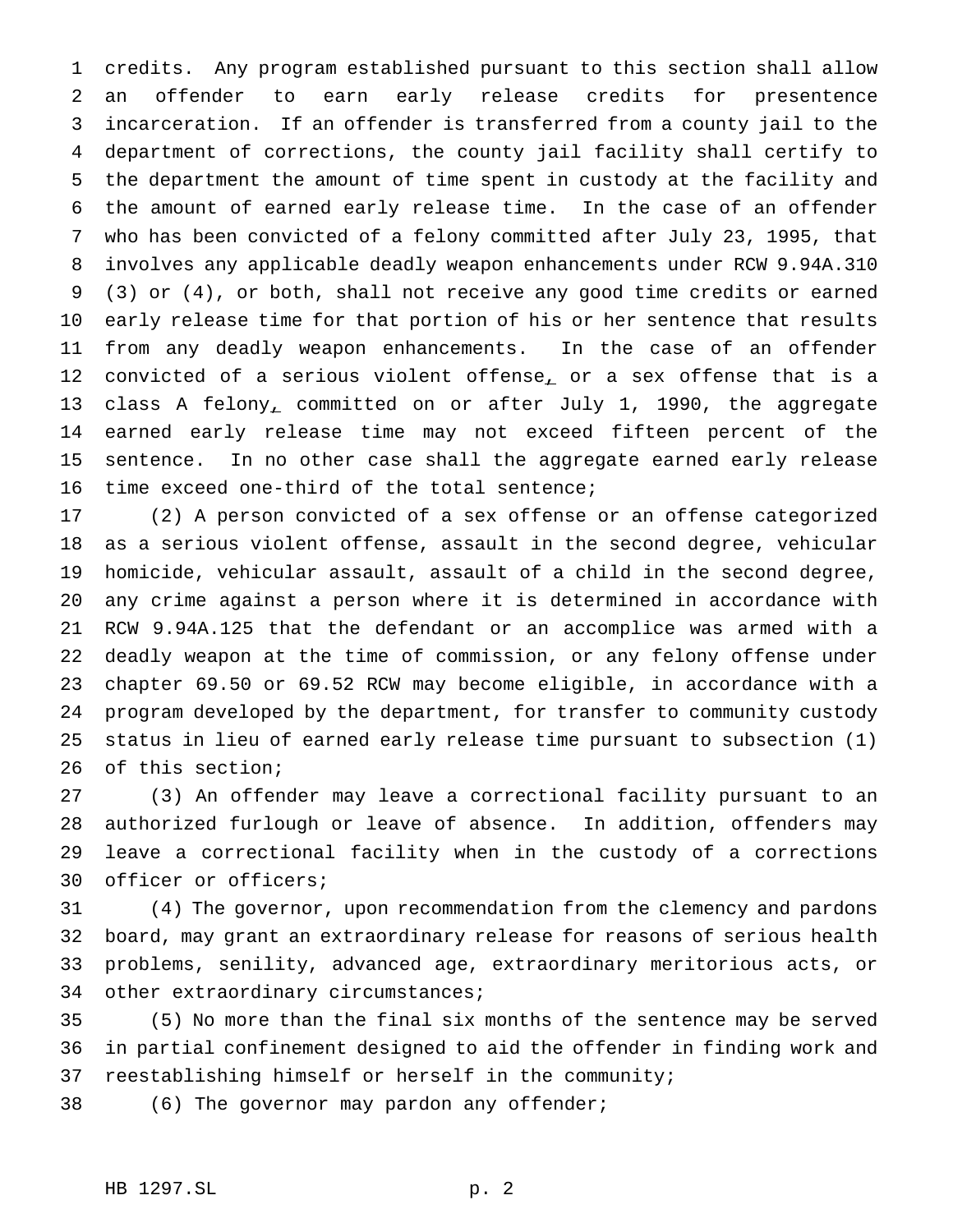credits. Any program established pursuant to this section shall allow an offender to earn early release credits for presentence incarceration. If an offender is transferred from a county jail to the department of corrections, the county jail facility shall certify to the department the amount of time spent in custody at the facility and the amount of earned early release time. In the case of an offender who has been convicted of a felony committed after July 23, 1995, that involves any applicable deadly weapon enhancements under RCW 9.94A.310 (3) or (4), or both, shall not receive any good time credits or earned early release time for that portion of his or her sentence that results from any deadly weapon enhancements. In the case of an offender 12 convicted of a serious violent offense, or a sex offense that is a 13 class A felony, committed on or after July 1, 1990, the aggregate earned early release time may not exceed fifteen percent of the sentence. In no other case shall the aggregate earned early release time exceed one-third of the total sentence;

 (2) A person convicted of a sex offense or an offense categorized as a serious violent offense, assault in the second degree, vehicular homicide, vehicular assault, assault of a child in the second degree, any crime against a person where it is determined in accordance with RCW 9.94A.125 that the defendant or an accomplice was armed with a deadly weapon at the time of commission, or any felony offense under chapter 69.50 or 69.52 RCW may become eligible, in accordance with a program developed by the department, for transfer to community custody status in lieu of earned early release time pursuant to subsection (1) of this section;

 (3) An offender may leave a correctional facility pursuant to an authorized furlough or leave of absence. In addition, offenders may leave a correctional facility when in the custody of a corrections officer or officers;

 (4) The governor, upon recommendation from the clemency and pardons board, may grant an extraordinary release for reasons of serious health problems, senility, advanced age, extraordinary meritorious acts, or 34 other extraordinary circumstances;

 (5) No more than the final six months of the sentence may be served in partial confinement designed to aid the offender in finding work and reestablishing himself or herself in the community;

38 (6) The governor may pardon any offender;